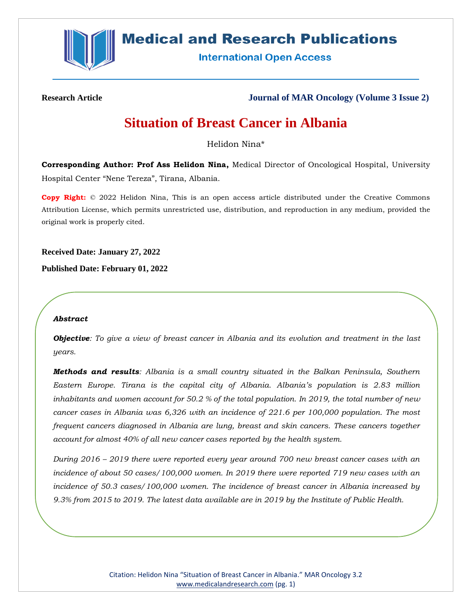

# **Medical and Research Publications**

**International Open Access** 

**Research Article Journal of MAR Oncology (Volume 3 Issue 2)**

# **Situation of Breast Cancer in Albania**

Helidon Nina\*

**Corresponding Author: Prof Ass Helidon Nina,** Medical Director of Oncological Hospital, University Hospital Center "Nene Tereza", Tirana, Albania.

**Copy Right:** © 2022 Helidon Nina, This is an open access article distributed under the Creative Commons Attribution License, which permits unrestricted use, distribution, and reproduction in any medium, provided the original work is properly cited.

**Received Date: January 27, 2022**

**Published Date: February 01, 2022**

#### *Abstract*

*Objective: To give a view of breast cancer in Albania and its evolution and treatment in the last years.*

*Methods and results: Albania is a small country situated in the Balkan Peninsula, Southern Eastern Europe. Tirana is the capital city of Albania. Albania's population is 2.83 million inhabitants and women account for 50.2 % of the total population. In 2019, the total number of new cancer cases in Albania was 6,326 with an incidence of 221.6 per 100,000 population. The most frequent cancers diagnosed in Albania are lung, breast and skin cancers. These cancers together account for almost 40% of all new cancer cases reported by the health system.*

*During 2016 – 2019 there were reported every year around 700 new breast cancer cases with an incidence of about 50 cases/100,000 women. In 2019 there were reported 719 new cases with an incidence of 50.3 cases/100,000 women. The incidence of breast cancer in Albania increased by 9.3% from 2015 to 2019. The latest data available are in 2019 by the Institute of Public Health.*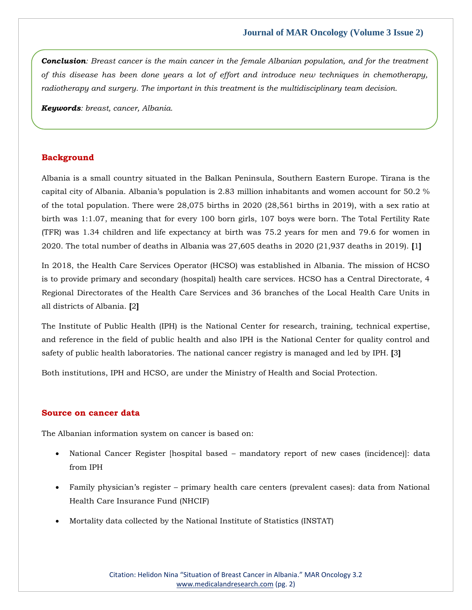*Conclusion: Breast cancer is the main cancer in the female Albanian population, and for the treatment of this disease has been done years a lot of effort and introduce new techniques in chemotherapy, radiotherapy and surgery. The important in this treatment is the multidisciplinary team decision.*

*Keywords: breast, cancer, Albania.*

# **Background**

Albania is a small country situated in the Balkan Peninsula, Southern Eastern Europe. Tirana is the capital city of Albania. Albania's population is 2.83 million inhabitants and women account for 50.2 % of the total population. There were 28,075 births in 2020 (28,561 births in 2019), with a sex ratio at birth was 1:1.07, meaning that for every 100 born girls, 107 boys were born. The Total Fertility Rate (TFR) was 1.34 children and life expectancy at birth was 75.2 years for men and 79.6 for women in 2020. The total number of deaths in Albania was 27,605 deaths in 2020 (21,937 deaths in 2019). **[**1**]**

In 2018, the Health Care Services Operator (HCSO) was established in Albania. The mission of HCSO is to provide primary and secondary (hospital) health care services. HCSO has a Central Directorate, 4 Regional Directorates of the Health Care Services and 36 branches of the Local Health Care Units in all districts of Albania. **[**2**]**

The Institute of Public Health (IPH) is the National Center for research, training, technical expertise, and reference in the field of public health and also IPH is the National Center for quality control and safety of public health laboratories. The national cancer registry is managed and led by IPH. **[**3**]**

Both institutions, IPH and HCSO, are under the Ministry of Health and Social Protection.

#### **Source on cancer data**

The Albanian information system on cancer is based on:

- National Cancer Register [hospital based mandatory report of new cases (incidence)]: data from IPH
- Family physician's register primary health care centers (prevalent cases): data from National Health Care Insurance Fund (NHCIF)
- Mortality data collected by the National Institute of Statistics (INSTAT)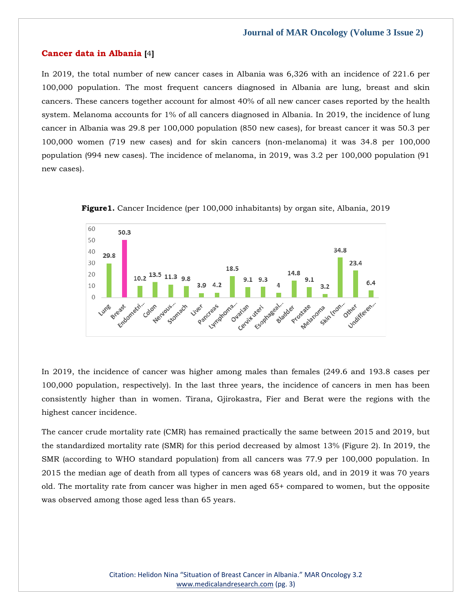### **Cancer data in Albania [**4**]**

In 2019, the total number of new cancer cases in Albania was 6,326 with an incidence of 221.6 per 100,000 population. The most frequent cancers diagnosed in Albania are lung, breast and skin cancers. These cancers together account for almost 40% of all new cancer cases reported by the health system. Melanoma accounts for 1% of all cancers diagnosed in Albania. In 2019, the incidence of lung cancer in Albania was 29.8 per 100,000 population (850 new cases), for breast cancer it was 50.3 per 100,000 women (719 new cases) and for skin cancers (non-melanoma) it was 34.8 per 100,000 population (994 new cases). The incidence of melanoma, in 2019, was 3.2 per 100,000 population (91 new cases).





In 2019, the incidence of cancer was higher among males than females (249.6 and 193.8 cases per 100,000 population, respectively). In the last three years, the incidence of cancers in men has been consistently higher than in women. Tirana, Gjirokastra, Fier and Berat were the regions with the highest cancer incidence.

The cancer crude mortality rate (CMR) has remained practically the same between 2015 and 2019, but the standardized mortality rate (SMR) for this period decreased by almost 13% (Figure 2). In 2019, the SMR (according to WHO standard population) from all cancers was 77.9 per 100,000 population. In 2015 the median age of death from all types of cancers was 68 years old, and in 2019 it was 70 years old. The mortality rate from cancer was higher in men aged 65+ compared to women, but the opposite was observed among those aged less than 65 years.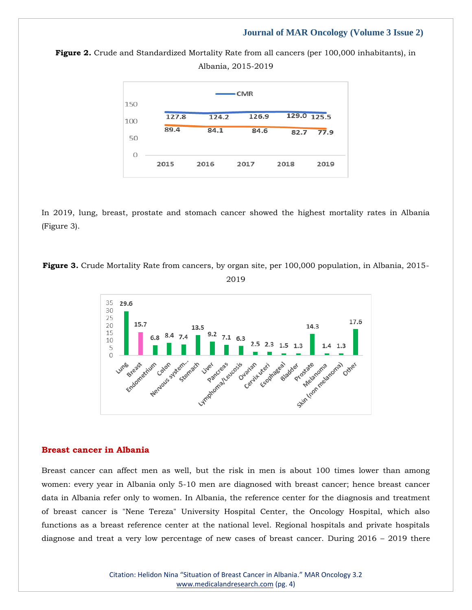



In 2019, lung, breast, prostate and stomach cancer showed the highest mortality rates in Albania (Figure 3).

**Figure 3***.* Crude Mortality Rate from cancers, by organ site, per 100,000 population, in Albania, 2015- 2019



#### **Breast cancer in Albania**

Breast cancer can affect men as well, but the risk in men is about 100 times lower than among women: every year in Albania only 5-10 men are diagnosed with breast cancer; hence breast cancer data in Albania refer only to women. In Albania, the reference center for the diagnosis and treatment of breast cancer is "Nene Tereza" University Hospital Center, the Oncology Hospital, which also functions as a breast reference center at the national level. Regional hospitals and private hospitals diagnose and treat a very low percentage of new cases of breast cancer. During 2016 – 2019 there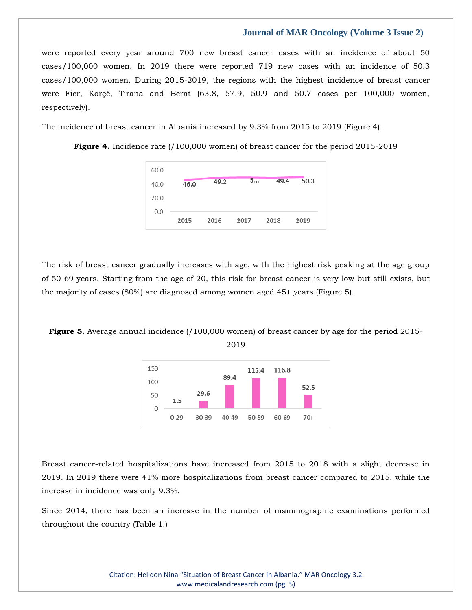were reported every year around 700 new breast cancer cases with an incidence of about 50 cases/100,000 women. In 2019 there were reported 719 new cases with an incidence of 50.3 cases/100,000 women. During 2015-2019, the regions with the highest incidence of breast cancer were Fier, Korçë, Tirana and Berat (63.8, 57.9, 50.9 and 50.7 cases per 100,000 women, respectively).

The incidence of breast cancer in Albania increased by 9.3% from 2015 to 2019 (Figure 4).

**Figure 4.** Incidence rate (/100,000 women) of breast cancer for the period 2015-2019



The risk of breast cancer gradually increases with age, with the highest risk peaking at the age group of 50-69 years. Starting from the age of 20, this risk for breast cancer is very low but still exists, but the majority of cases (80%) are diagnosed among women aged 45+ years (Figure 5).

**Figure 5.** Average annual incidence (/100,000 women) of breast cancer by age for the period 2015-



2019

Breast cancer-related hospitalizations have increased from 2015 to 2018 with a slight decrease in 2019. In 2019 there were 41% more hospitalizations from breast cancer compared to 2015, while the increase in incidence was only 9.3%.

Since 2014, there has been an increase in the number of mammographic examinations performed throughout the country (Table 1.)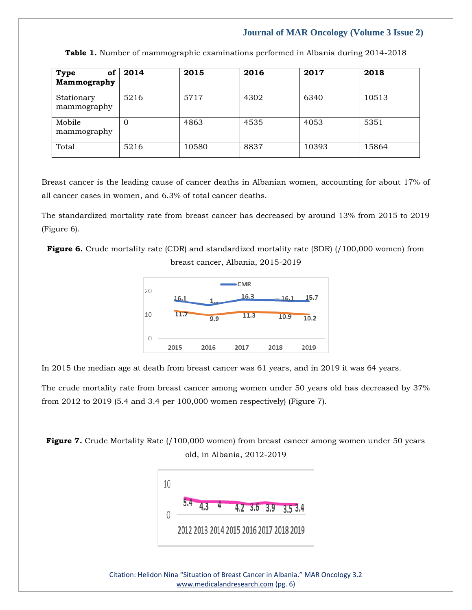| of<br><b>Type</b><br>Mammography | 2014     | 2015  | 2016 | 2017  | 2018  |
|----------------------------------|----------|-------|------|-------|-------|
| Stationary<br>mammography        | 5216     | 5717  | 4302 | 6340  | 10513 |
| Mobile<br>mammography            | $\theta$ | 4863  | 4535 | 4053  | 5351  |
| Total                            | 5216     | 10580 | 8837 | 10393 | 15864 |

**Table 1.** Number of mammographic examinations performed in Albania during 2014-2018

Breast cancer is the leading cause of cancer deaths in Albanian women, accounting for about 17% of all cancer cases in women, and 6.3% of total cancer deaths.

The standardized mortality rate from breast cancer has decreased by around 13% from 2015 to 2019 (Figure 6).

**Figure 6.** Crude mortality rate (CDR) and standardized mortality rate (SDR) (/100,000 women) from

breast cancer, Albania, 2015-2019



In 2015 the median age at death from breast cancer was 61 years, and in 2019 it was 64 years.

The crude mortality rate from breast cancer among women under 50 years old has decreased by 37% from 2012 to 2019 (5.4 and 3.4 per 100,000 women respectively) (Figure 7).

**Figure 7.** Crude Mortality Rate (/100,000 women) from breast cancer among women under 50 years old, in Albania, 2012-2019



Citation: Helidon Nina "Situation of Breast Cancer in Albania." MAR Oncology 3.2 [www.medicalandresearch.com](http://www.medicalandresearch.com/) (pg. 6)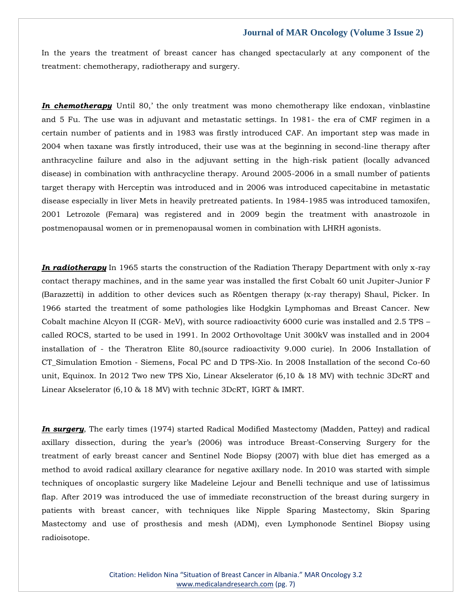In the years the treatment of breast cancer has changed spectacularly at any component of the treatment: chemotherapy, radiotherapy and surgery.

**In chemotherapy** Until 80,' the only treatment was mono chemotherapy like endoxan, vinblastine and 5 Fu. The use was in adjuvant and metastatic settings. In 1981- the era of CMF regimen in a certain number of patients and in 1983 was firstly introduced CAF. An important step was made in 2004 when taxane was firstly introduced, their use was at the beginning in second-line therapy after anthracycline failure and also in the adjuvant setting in the high-risk patient (locally advanced disease) in combination with anthracycline therapy. Around 2005-2006 in a small number of patients target therapy with Herceptin was introduced and in 2006 was introduced capecitabine in metastatic disease especially in liver Mets in heavily pretreated patients. In 1984-1985 was introduced tamoxifen, 2001 Letrozole (Femara) was registered and in 2009 begin the treatment with anastrozole in postmenopausal women or in premenopausal women in combination with LHRH agonists.

*In radiotherapy* In 1965 starts the construction of the Radiation Therapy Department with only x-ray contact therapy machines, and in the same year was installed the first Cobalt 60 unit Jupiter-Junior F (Barazzetti) in addition to other devices such as Röentgen therapy (x-ray therapy) Shaul, Picker. In 1966 started the treatment of some pathologies like Hodgkin Lymphomas and Breast Cancer. New Cobalt machine Alcyon II (CGR- MeV), with source radioactivity 6000 curie was installed and 2.5 TPS – called ROCS, started to be used in 1991. In 2002 Orthovoltage Unit 300kV was installed and in 2004 installation of - the Theratron Elite 80,(source radioactivity 9.000 curie). In 2006 Installation of CT Simulation Emotion - Siemens, Focal PC and D TPS-Xio. In 2008 Installation of the second Co-60 unit, Equinox. In 2012 Two new TPS Xio, Linear Akselerator (6,10 & 18 MV) with technic 3DcRT and Linear Akselerator (6,10 & 18 MV) with technic 3DcRT, IGRT & IMRT.

*In surgery*, The early times (1974) started Radical Modified Mastectomy (Madden, Pattey) and radical axillary dissection, during the year's (2006) was introduce Breast-Conserving Surgery for the treatment of early breast cancer and Sentinel Node Biopsy (2007) with blue diet has emerged as a method to avoid radical axillary clearance for negative axillary node. In 2010 was started with simple techniques of oncoplastic surgery like Madeleine Lejour and Benelli technique and use of latissimus flap. After 2019 was introduced the use of immediate reconstruction of the breast during surgery in patients with breast cancer, with techniques like Nipple Sparing Mastectomy, Skin Sparing Mastectomy and use of prosthesis and mesh (ADM), even Lymphonode Sentinel Biopsy using radioisotope.